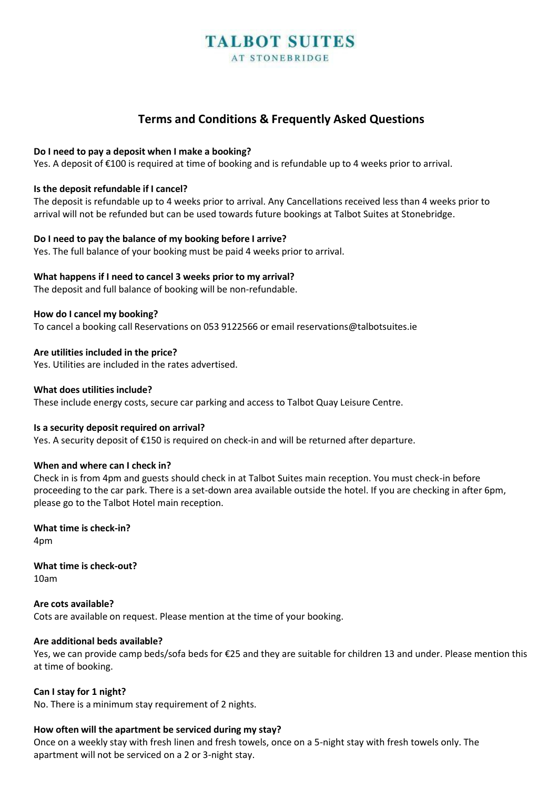# **Terms and Conditions & Frequently Asked Questions**

#### **Do I need to pay a deposit when I make a booking?**

Yes. A deposit of €100 is required at time of booking and is refundable up to 4 weeks prior to arrival.

#### **Is the deposit refundable if I cancel?**

The deposit is refundable up to 4 weeks prior to arrival. Any Cancellations received less than 4 weeks prior to arrival will not be refunded but can be used towards future bookings at Talbot Suites at Stonebridge.

#### **Do I need to pay the balance of my booking before I arrive?**

Yes. The full balance of your booking must be paid 4 weeks prior to arrival.

# **What happens if I need to cancel 3 weeks prior to my arrival?**

The deposit and full balance of booking will be non-refundable.

#### **How do I cancel my booking?**

To cancel a booking call Reservations on 053 9122566 or email [reservations@talbotsuites.ie](mailto:reservations@talbotsuites.ie)

# **Are utilities included in the price?**

Yes. Utilities are included in the rates advertised.

#### **What does utilities include?**

These include energy costs, secure car parking and access to Talbot Quay Leisure Centre.

# **Is a security deposit required on arrival?**

Yes. A security deposit of €150 is required on check-in and will be returned after departure.

# **When and where can I check in?**

Check in is from 4pm and guests should check in at Talbot Suites main reception. You must check-in before proceeding to the car park. There is a set-down area available outside the hotel. If you are checking in after 6pm, please go to the Talbot Hotel main reception.

**What time is check-in?** 4pm

**What time is check-out?**

10am

**Are cots available?** Cots are available on request. Please mention at the time of your booking.

# **Are additional beds available?**

Yes, we can provide camp beds/sofa beds for €25 and they are suitable for children 13 and under. Please mention this at time of booking.

# **Can I stay for 1 night?**

No. There is a minimum stay requirement of 2 nights.

# **How often will the apartment be serviced during my stay?**

Once on a weekly stay with fresh linen and fresh towels, once on a 5-night stay with fresh towels only. The apartment will not be serviced on a 2 or 3-night stay.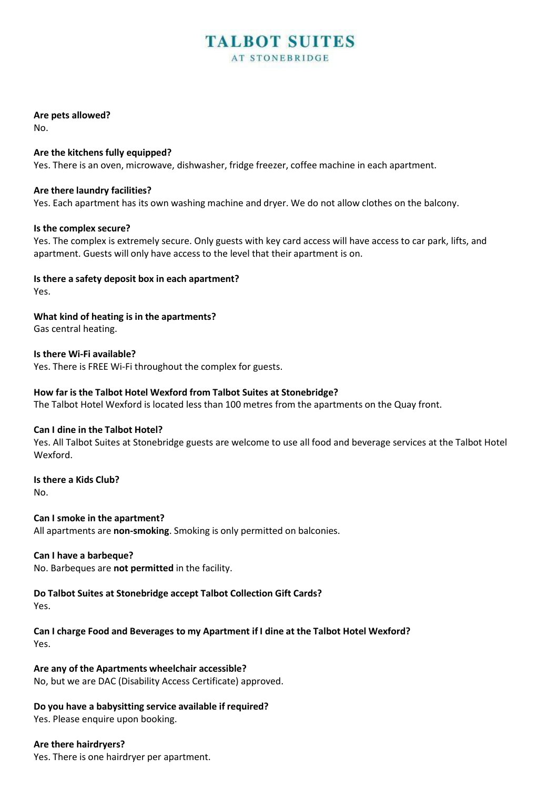# **Are pets allowed?**

No.

# **Are the kitchens fully equipped?**

Yes. There is an oven, microwave, dishwasher, fridge freezer, coffee machine in each apartment.

# **Are there laundry facilities?**

Yes. Each apartment has its own washing machine and dryer. We do not allow clothes on the balcony.

# **Is the complex secure?**

Yes. The complex is extremely secure. Only guests with key card access will have access to car park, lifts, and apartment. Guests will only have access to the level that their apartment is on.

# **Is there a safety deposit box in each apartment?**

Yes.

**What kind of heating is in the apartments?**

Gas central heating.

**Is there Wi-Fi available?**

Yes. There is FREE Wi-Fi throughout the complex for guests.

# **How far is the Talbot Hotel Wexford from Talbot Suites at Stonebridge?**

The Talbot Hotel Wexford is located less than 100 metres from the apartments on the Quay front.

# **Can I dine in the Talbot Hotel?**

Yes. All Talbot Suites at Stonebridge guests are welcome to use all food and beverage services at the Talbot Hotel Wexford.

**Is there a Kids Club?** No.

**Can I smoke in the apartment?** All apartments are **non-smoking**. Smoking is only permitted on balconies.

# **Can I have a barbeque?**

No. Barbeques are **not permitted** in the facility.

# **Do Talbot Suites at Stonebridge accept Talbot Collection Gift Cards?**

Yes.

**Can I charge Food and Beverages to my Apartment if I dine at the Talbot Hotel Wexford?** Yes.

**Are any of the Apartments wheelchair accessible?** No, but we are DAC (Disability Access Certificate) approved.

# **Do you have a babysitting service available if required?**

Yes. Please enquire upon booking.

# **Are there hairdryers?**

Yes. There is one hairdryer per apartment.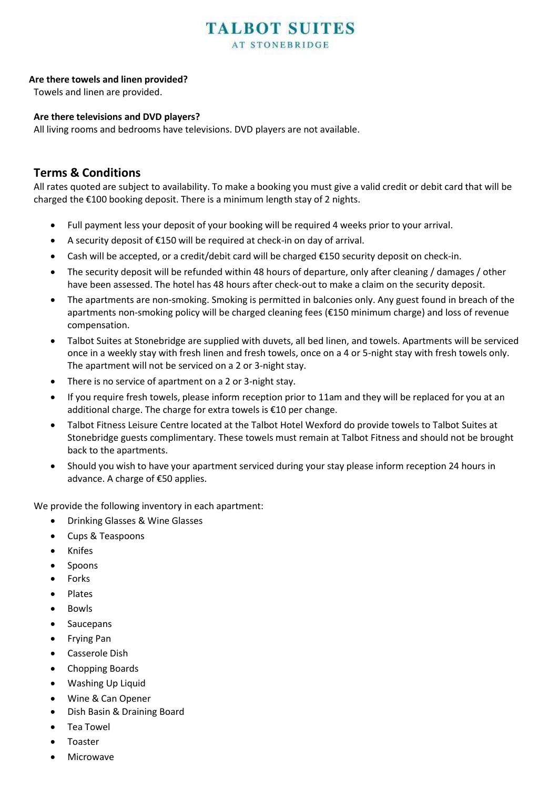# **Are there towels and linen provided?**

Towels and linen are provided.

# **Are there televisions and DVD players?**

All living rooms and bedrooms have televisions. DVD players are not available.

# **Terms & Conditions**

All rates quoted are subject to availability. To make a booking you must give a valid credit or debit card that will be charged the €100 booking deposit. There is a minimum length stay of 2 nights.

- Full payment less your deposit of your booking will be required 4 weeks prior to your arrival.
- A security deposit of €150 will be required at check-in on day of arrival.
- Cash will be accepted, or a credit/debit card will be charged €150 security deposit on check-in.
- The security deposit will be refunded within 48 hours of departure, only after cleaning / damages / other have been assessed. The hotel has 48 hours after check-out to make a claim on the security deposit.
- The apartments are non-smoking. Smoking is permitted in balconies only. Any guest found in breach of the apartments non-smoking policy will be charged cleaning fees (€150 minimum charge) and loss of revenue compensation.
- Talbot Suites at Stonebridge are supplied with duvets, all bed linen, and towels. Apartments will be serviced once in a weekly stay with fresh linen and fresh towels, once on a 4 or 5-night stay with fresh towels only. The apartment will not be serviced on a 2 or 3-night stay.
- There is no service of apartment on a 2 or 3-night stay.
- If you require fresh towels, please inform reception prior to 11am and they will be replaced for you at an additional charge. The charge for extra towels is €10 per change.
- Talbot Fitness Leisure Centre located at the Talbot Hotel Wexford do provide towels to Talbot Suites at Stonebridge guests complimentary. These towels must remain at Talbot Fitness and should not be brought back to the apartments.
- Should you wish to have your apartment serviced during your stay please inform reception 24 hours in advance. A charge of €50 applies.

We provide the following inventory in each apartment:

- Drinking Glasses & Wine Glasses
- Cups & Teaspoons
- Knifes
- **Spoons**
- **Forks**
- Plates
- Bowls
- **Saucepans**
- Frying Pan
- Casserole Dish
- Chopping Boards
- Washing Up Liquid
- Wine & Can Opener
- Dish Basin & Draining Board
- Tea Towel
- Toaster
- **Microwave**